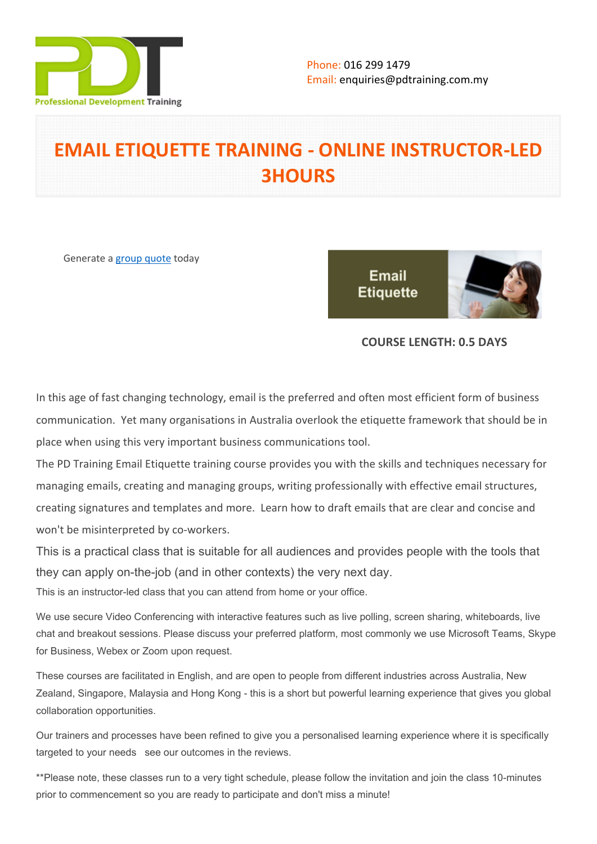

# **EMAIL ETIQUETTE TRAINING - ONLINE INSTRUCTOR-LED 3HOURS**

Generate a [group quote](https://pdtraining.com.my/inhouse-training-quote?cse=PDTE543_C) today

**Email Etiquette** 



## **COURSE LENGTH: 0.5 DAYS**

In this age of fast changing technology, email is the preferred and often most efficient form of business communication. Yet many organisations in Australia overlook the etiquette framework that should be in place when using this very important business communications tool.

The PD Training Email Etiquette training course provides you with the skills and techniques necessary for managing emails, creating and managing groups, writing professionally with effective email structures, creating signatures and templates and more. Learn how to draft emails that are clear and concise and won't be misinterpreted by co-workers.

This is a practical class that is suitable for all audiences and provides people with the tools that they can apply on-the-job (and in other contexts) the very next day.

This is an instructor-led class that you can attend from home or your office.

We use secure Video Conferencing with interactive features such as live polling, screen sharing, whiteboards, live chat and breakout sessions. Please discuss your preferred platform, most commonly we use Microsoft Teams, Skype for Business, Webex or Zoom upon request.

These courses are facilitated in English, and are open to people from different industries across Australia, New Zealand, Singapore, Malaysia and Hong Kong - this is a short but powerful learning experience that gives you global collaboration opportunities.

Our trainers and processes have been refined to give you a personalised learning experience where it is specifically targeted to your needs see our outcomes in the reviews.

\*\*Please note, these classes run to a very tight schedule, please follow the invitation and join the class 10-minutes prior to commencement so you are ready to participate and don't miss a minute!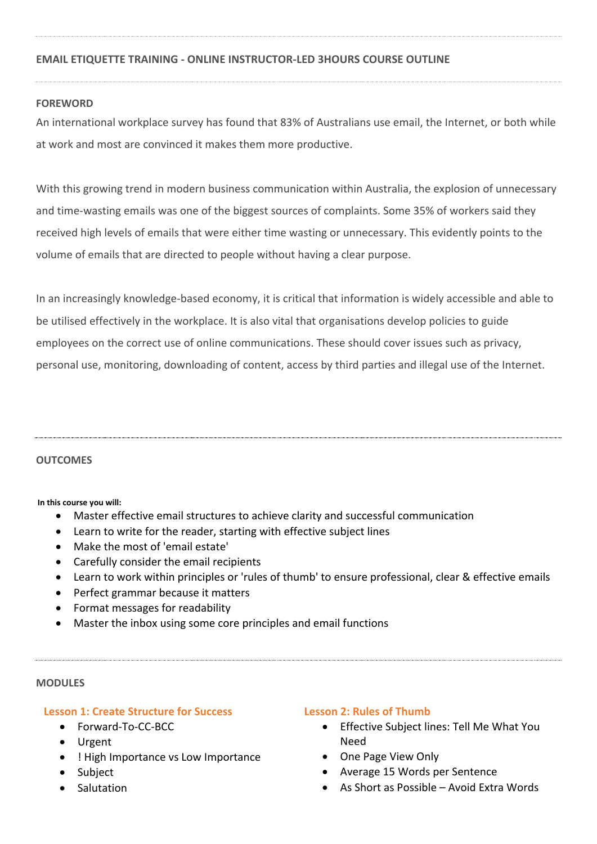## **EMAIL ETIQUETTE TRAINING - ONLINE INSTRUCTOR-LED 3HOURS COURSE OUTLINE**

### **FOREWORD**

An international workplace survey has found that 83% of Australians use email, the Internet, or both while at work and most are convinced it makes them more productive.

With this growing trend in modern business communication within Australia, the explosion of unnecessary and time-wasting emails was one of the biggest sources of complaints. Some 35% of workers said they received high levels of emails that were either time wasting or unnecessary. This evidently points to the volume of emails that are directed to people without having a clear purpose.

In an increasingly knowledge-based economy, it is critical that information is widely accessible and able to be utilised effectively in the workplace. It is also vital that organisations develop policies to guide employees on the correct use of online communications. These should cover issues such as privacy, personal use, monitoring, downloading of content, access by third parties and illegal use of the Internet.

#### **OUTCOMES**

**In this course you will:**

- Master effective email structures to achieve clarity and successful communication
- Learn to write for the reader, starting with effective subject lines
- Make the most of 'email estate'
- Carefully consider the email recipients
- Learn to work within principles or 'rules of thumb' to ensure professional, clear & effective emails
- Perfect grammar because it matters
- Format messages for readability
- Master the inbox using some core principles and email functions

#### **MODULES**

#### **Lesson 1: Create Structure for Success**

- Forward-To-CC-BCC
- Urgent
- ! High Importance vs Low Importance
- Subject
- Salutation

#### **Lesson 2: Rules of Thumb**

- Effective Subject lines: Tell Me What You Need
- One Page View Only
- Average 15 Words per Sentence
- As Short as Possible Avoid Extra Words